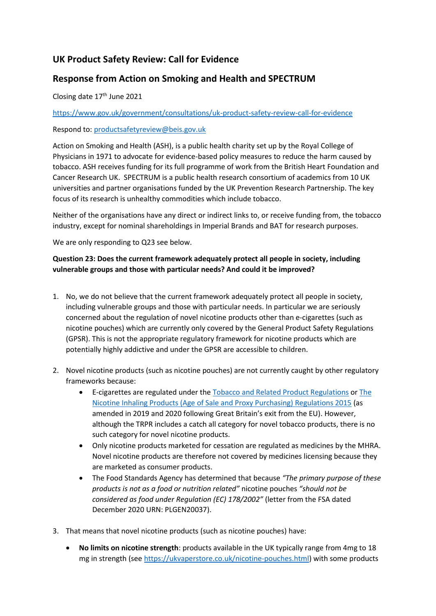## **UK Product Safety Review: Call for Evidence**

## **Response from Action on Smoking and Health and SPECTRUM**

Closing date 17<sup>th</sup> June 2021

## <https://www.gov.uk/government/consultations/uk-product-safety-review-call-for-evidence>

Respond to: [productsafetyreview@beis.gov.uk](mailto:productsafetyreview@beis.gov.uk)

Action on Smoking and Health (ASH), is a public health charity set up by the Royal College of Physicians in 1971 to advocate for evidence-based policy measures to reduce the harm caused by tobacco. ASH receives funding for its full programme of work from the British Heart Foundation and Cancer Research UK. SPECTRUM is a public health research consortium of academics from 10 UK universities and partner organisations funded by the UK Prevention Research Partnership. The key focus of its research is unhealthy commodities which include tobacco.

Neither of the organisations have any direct or indirect links to, or receive funding from, the tobacco industry, except for nominal shareholdings in Imperial Brands and BAT for research purposes.

We are only responding to Q23 see below.

## **Question 23: Does the current framework adequately protect all people in society, including vulnerable groups and those with particular needs? And could it be improved?**

- 1. No, we do not believe that the current framework adequately protect all people in society, including vulnerable groups and those with particular needs. In particular we are seriously concerned about the regulation of novel nicotine products other than e-cigarettes (such as nicotine pouches) which are currently only covered by the General Product Safety Regulations (GPSR). This is not the appropriate regulatory framework for nicotine products which are potentially highly addictive and under the GPSR are accessible to children.
- 2. Novel nicotine products (such as nicotine pouches) are not currently caught by other regulatory frameworks because:
	- E-cigarettes are regulated under th[e Tobacco and Related Product Regulations](https://www.legislation.gov.uk/uksi/2016/507/contents/made) or [The](https://www.legislation.gov.uk/ukdsi/2015/9780111130568)  [Nicotine Inhaling Products \(Age of Sale and Proxy Purchasing\) Regulations 2015](https://www.legislation.gov.uk/ukdsi/2015/9780111130568) (as amended in 2019 and 2020 following Great Britain's exit from the EU). However, although the TRPR includes a catch all category for novel tobacco products, there is no such category for novel nicotine products.
	- Only nicotine products marketed for cessation are regulated as medicines by the MHRA. Novel nicotine products are therefore not covered by medicines licensing because they are marketed as consumer products.
	- The Food Standards Agency has determined that because *"The primary purpose of these products is not as a food or nutrition related"* nicotine pouches *"should not be considered as food under Regulation (EC) 178/2002"* (letter from the FSA dated December 2020 URN: PLGEN20037).
- 3. That means that novel nicotine products (such as nicotine pouches) have:
	- **No limits on nicotine strength**: products available in the UK typically range from 4mg to 18 mg in strength (se[e https://ukvaperstore.co.uk/nicotine-pouches.html\)](https://ukvaperstore.co.uk/nicotine-pouches.html) with some products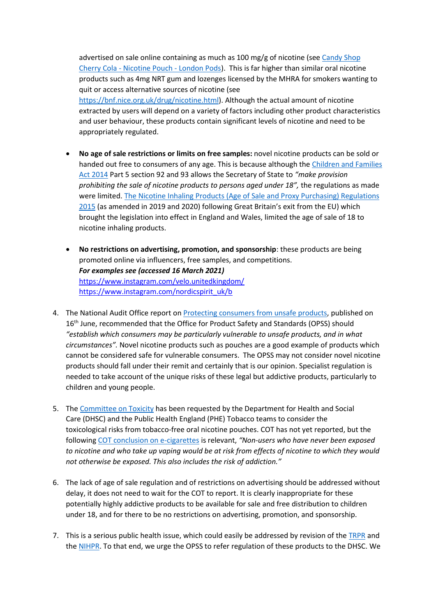advertised on sale online containing as much as 100 mg/g of nicotine (se[e Candy Shop](https://londonpods.co.uk/product/candy-shop-pina-colada-nicotine-pouch-copy/)  Cherry Cola - [Nicotine Pouch -](https://londonpods.co.uk/product/candy-shop-pina-colada-nicotine-pouch-copy/) London Pods). This is far higher than similar oral nicotine products such as 4mg NRT gum and lozenges licensed by the MHRA for smokers wanting to quit or access alternative sources of nicotine (see [https://bnf.nice.org.uk/drug/nicotine.html\)](https://bnf.nice.org.uk/drug/nicotine.html). Although the actual amount of nicotine extracted by users will depend on a variety of factors including other product characteristics and user behaviour, these products contain significant levels of nicotine and need to be appropriately regulated.

- **No age of sale restrictions or limits on free samples:** novel nicotine products can be sold or handed out free to consumers of any age. This is because although the [Children and Families](https://www.legislation.gov.uk/ukpga/2014/6/contents/enacted)  [Act 2014](https://www.legislation.gov.uk/ukpga/2014/6/contents/enacted) Part 5 section 92 and 93 allows the Secretary of State to *"make provision prohibiting the sale of nicotine products to persons aged under 18",* the regulations as made were limited[. The Nicotine Inhaling Products \(Age of Sale and Proxy Purchasing\) Regulations](https://www.legislation.gov.uk/ukdsi/2015/9780111130568)  [2015](https://www.legislation.gov.uk/ukdsi/2015/9780111130568) (as amended in 2019 and 2020) following Great Britain's exit from the EU) which brought the legislation into effect in England and Wales, limited the age of sale of 18 to nicotine inhaling products.
- **No restrictions on advertising, promotion, and sponsorship**: these products are being promoted online via influencers, free samples, and competitions. *For examples see (accessed 16 March 2021)* <https://www.instagram.com/velo.unitedkingdom/> [https://www.instagram.com/nordicspirit\\_uk/b](https://www.instagram.com/nordicspirit_uk/b)
- 4. The National Audit Office report on [Protecting consumers from unsafe products,](https://www.nao.org.uk/wp-content/uploads/2021/02/Protecting-consumers-from-unsafe-products.pdf) published on 16<sup>th</sup> June, recommended that the Office for Product Safety and Standards (OPSS) should *"establish which consumers may be particularly vulnerable to unsafe products, and in what circumstances".* Novel nicotine products such as pouches are a good example of products which cannot be considered safe for vulnerable consumers. The OPSS may not consider novel nicotine products should fall under their remit and certainly that is our opinion. Specialist regulation is needed to take account of the unique risks of these legal but addictive products, particularly to children and young people.
- 5. The [Committee on Toxicity](https://cot.food.gov.uk/sites/default/files/2021-05/TOX-2021-22%20Nicotine%20pouches.pdf) has been requested by the Department for Health and Social Care (DHSC) and the Public Health England (PHE) Tobacco teams to consider the toxicological risks from tobacco-free oral nicotine pouches. COT has not yet reported, but the following [COT conclusion on e-cigarettes](https://cot.food.gov.uk/sites/default/files/2020-09/COT%20E%28N%29NDS%20statement%202020-04.pdf) is relevant, *"Non-users who have never been exposed to nicotine and who take up vaping would be at risk from effects of nicotine to which they would not otherwise be exposed. This also includes the risk of addiction."*
- 6. The lack of age of sale regulation and of restrictions on advertising should be addressed without delay, it does not need to wait for the COT to report. It is clearly inappropriate for these potentially highly addictive products to be available for sale and free distribution to children under 18, and for there to be no restrictions on advertising, promotion, and sponsorship.
- 7. This is a serious public health issue, which could easily be addressed by revision of the [TRPR](https://www.legislation.gov.uk/uksi/2016/507/contents/made) and th[e NIHPR.](https://www.legislation.gov.uk/ukdsi/2015/9780111130568) To that end, we urge the OPSS to refer regulation of these products to the DHSC. We